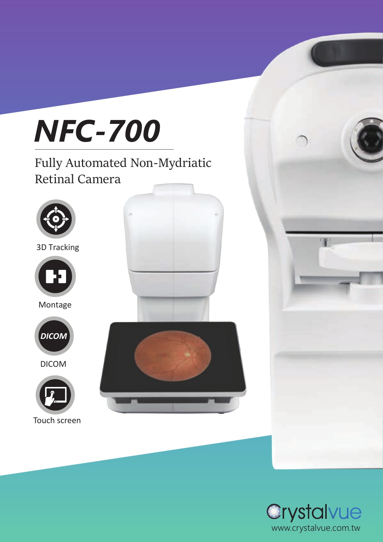

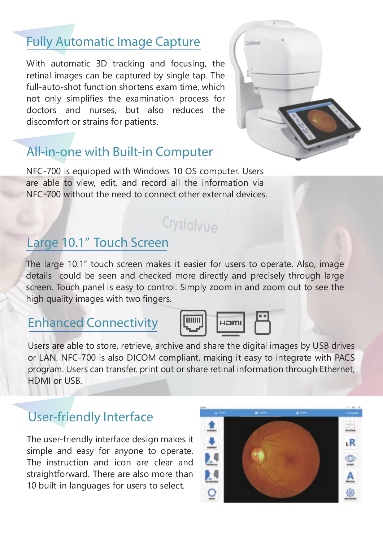# Fully Automatic Image Capture

With automatic 3D tracking and focusing, the retinal images can be captured by single tap. The full-auto-shot function shortens exam time, which not only simplifies the examination process for doctors and nurses, but also reduces the discomfort or strains for patients.



# All-in-one with Built-in Computer

NFC-700 is equipped with Windows 10 OS computer. Users are able to view, edit, and record all the information via NFC-700 without the need to connect other external devices.

# Crystalvue

## Large 10.1" Touch Screen

The large 10.1" touch screen makes it easier for users to operate. Also, image details could be seen and checked more directly and precisely through large screen. Touch panel is easy to control. Simply zoom in and zoom out to see the high quality images with two fingers.

#### Enhanced Connectivity



Users are able to store, retrieve, archive and share the digital images by USB drives or LAN. NFC-700 is also DICOM compliant, making it easy to integrate with PACS program. Users can transfer, print out or share retinal information through Ethernet, HDMI or USB.

## User-friendly Interface

The user-friendly interface design makes it simple and easy for anyone to operate. The instruction and icon are clear and straightforward. There are also more than 10 built-in languages for users to select.

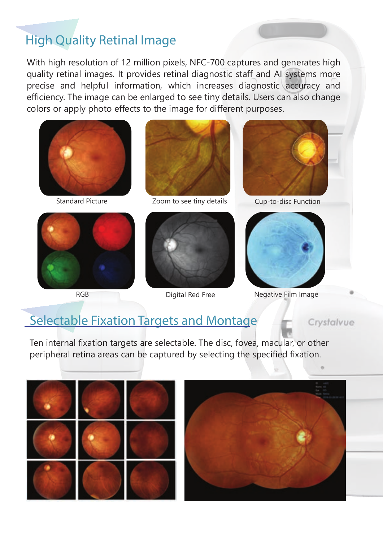# High Quality Retinal Image

With high resolution of 12 million pixels, NFC-700 captures and generates high quality retinal images. It provides retinal diagnostic staff and AI systems more precise and helpful information, which increases diagnostic accuracy and efficiency. The image can be enlarged to see tiny details. Users can also change colors or apply photo effects to the image for different purposes.







Standard Picture **Zoom to see tiny details** Cup-to-disc Function



RGB Digital Red Free





Negative Film Image

Crystalvue

## Selectable Fixation Targets and Montage

Ten internal fixation targets are selectable. The disc, fovea, macular, or other peripheral retina areas can be captured by selecting the specified fixation.